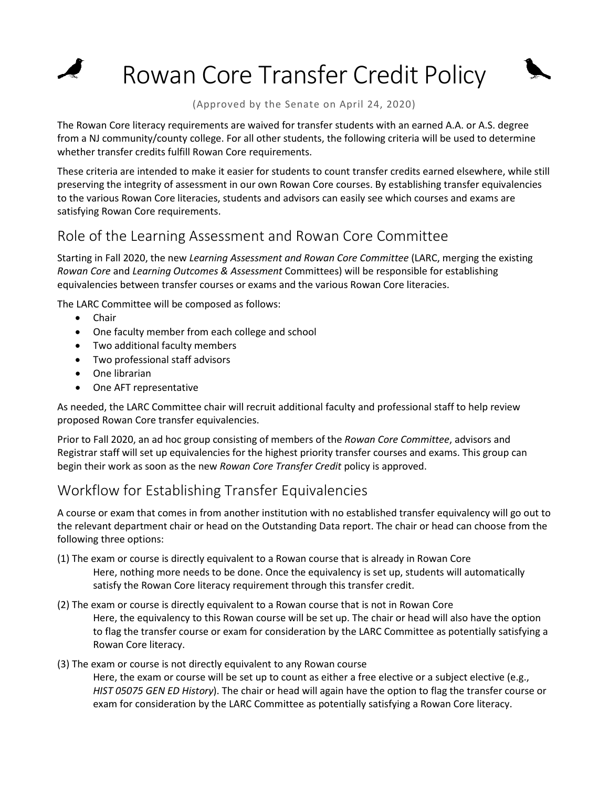Rowan Core Transfer Credit Policy

(Approved by the Senate on April 24, 2020)

The Rowan Core literacy requirements are waived for transfer students with an earned A.A. or A.S. degree from a NJ community/county college. For all other students, the following criteria will be used to determine whether transfer credits fulfill Rowan Core requirements.

These criteria are intended to make it easier for students to count transfer credits earned elsewhere, while still preserving the integrity of assessment in our own Rowan Core courses. By establishing transfer equivalencies to the various Rowan Core literacies, students and advisors can easily see which courses and exams are satisfying Rowan Core requirements.

## Role of the Learning Assessment and Rowan Core Committee

Starting in Fall 2020, the new *Learning Assessment and Rowan Core Committee* (LARC, merging the existing *Rowan Core* and *Learning Outcomes & Assessment* Committees) will be responsible for establishing equivalencies between transfer courses or exams and the various Rowan Core literacies.

The LARC Committee will be composed as follows:

• Chair

 $\blacktriangleright$ 

- One faculty member from each college and school
- Two additional faculty members
- Two professional staff advisors
- One librarian
- One AFT representative

As needed, the LARC Committee chair will recruit additional faculty and professional staff to help review proposed Rowan Core transfer equivalencies.

Prior to Fall 2020, an ad hoc group consisting of members of the *Rowan Core Committee*, advisors and Registrar staff will set up equivalencies for the highest priority transfer courses and exams. This group can begin their work as soon as the new *Rowan Core Transfer Credit* policy is approved.

## Workflow for Establishing Transfer Equivalencies

A course or exam that comes in from another institution with no established transfer equivalency will go out to the relevant department chair or head on the Outstanding Data report. The chair or head can choose from the following three options:

- (1) The exam or course is directly equivalent to a Rowan course that is already in Rowan Core Here, nothing more needs to be done. Once the equivalency is set up, students will automatically satisfy the Rowan Core literacy requirement through this transfer credit.
- (2) The exam or course is directly equivalent to a Rowan course that is not in Rowan Core Here, the equivalency to this Rowan course will be set up. The chair or head will also have the option to flag the transfer course or exam for consideration by the LARC Committee as potentially satisfying a Rowan Core literacy.
- (3) The exam or course is not directly equivalent to any Rowan course

Here, the exam or course will be set up to count as either a free elective or a subject elective (e.g., *HIST 05075 GEN ED History*). The chair or head will again have the option to flag the transfer course or exam for consideration by the LARC Committee as potentially satisfying a Rowan Core literacy.